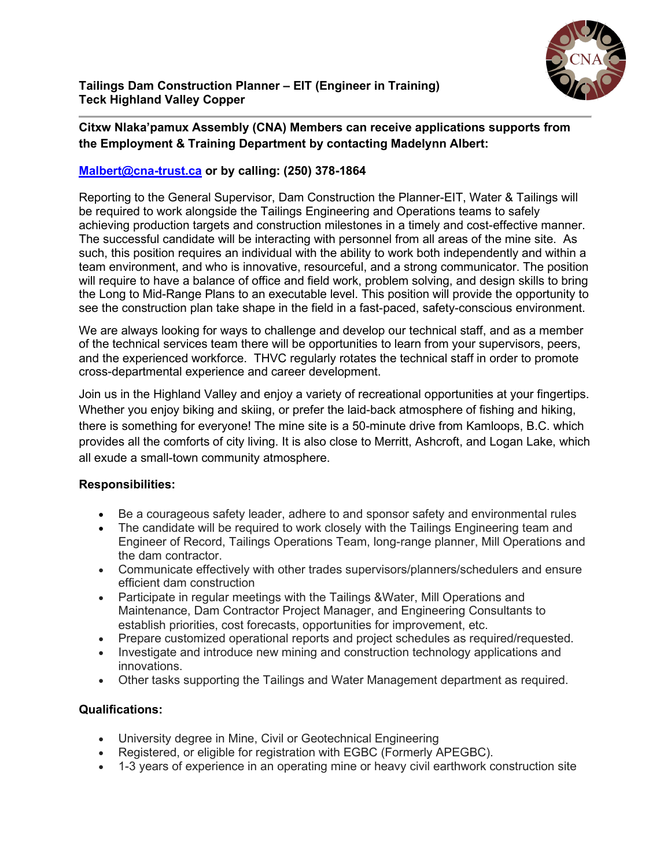

## **Citxw Nlaka'pamux Assembly (CNA) Members can receive applications supports from the Employment & Training Department by contacting Madelynn Albert:**

## **[Malbert@cna-trust.ca](mailto:Malbert@cna-trust.ca) or by calling: (250) 378-1864**

Reporting to the General Supervisor, Dam Construction the Planner-EIT, Water & Tailings will be required to work alongside the Tailings Engineering and Operations teams to safely achieving production targets and construction milestones in a timely and cost-effective manner. The successful candidate will be interacting with personnel from all areas of the mine site. As such, this position requires an individual with the ability to work both independently and within a team environment, and who is innovative, resourceful, and a strong communicator. The position will require to have a balance of office and field work, problem solving, and design skills to bring the Long to Mid-Range Plans to an executable level. This position will provide the opportunity to see the construction plan take shape in the field in a fast-paced, safety-conscious environment.

We are always looking for ways to challenge and develop our technical staff, and as a member of the technical services team there will be opportunities to learn from your supervisors, peers, and the experienced workforce. THVC regularly rotates the technical staff in order to promote cross-departmental experience and career development.

Join us in the Highland Valley and enjoy a variety of recreational opportunities at your fingertips. Whether you enjoy biking and skiing, or prefer the laid-back atmosphere of fishing and hiking, there is something for everyone! The mine site is a 50-minute drive from Kamloops, B.C. which provides all the comforts of city living. It is also close to Merritt, Ashcroft, and Logan Lake, which all exude a small-town community atmosphere.

## **Responsibilities:**

- Be a courageous safety leader, adhere to and sponsor safety and environmental rules
- The candidate will be required to work closely with the Tailings Engineering team and Engineer of Record, Tailings Operations Team, long-range planner, Mill Operations and the dam contractor.
- Communicate effectively with other trades supervisors/planners/schedulers and ensure efficient dam construction
- Participate in regular meetings with the Tailings &Water, Mill Operations and Maintenance, Dam Contractor Project Manager, and Engineering Consultants to establish priorities, cost forecasts, opportunities for improvement, etc.
- Prepare customized operational reports and project schedules as required/requested.
- Investigate and introduce new mining and construction technology applications and innovations.
- Other tasks supporting the Tailings and Water Management department as required.

## **Qualifications:**

- University degree in Mine, Civil or Geotechnical Engineering
- Registered, or eligible for registration with EGBC (Formerly APEGBC).
- 1-3 years of experience in an operating mine or heavy civil earthwork construction site